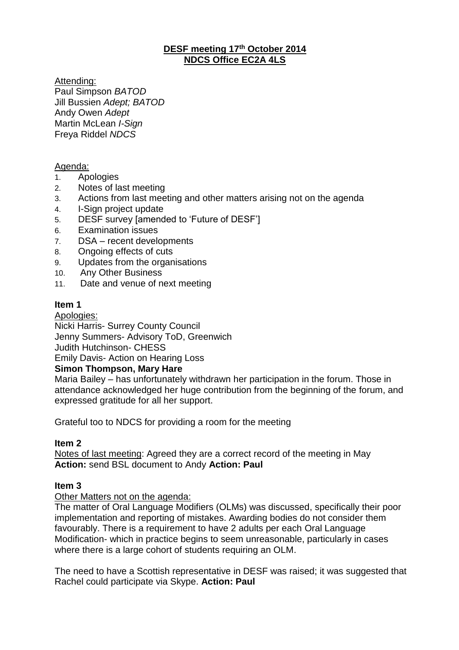# **DESF meeting 17th October 2014 NDCS Office EC2A 4LS**

Attending: Paul Simpson *BATOD* Jill Bussien *Adept; BATOD* Andy Owen *Adept* Martin McLean *I-Sign*  Freya Riddel *NDCS*

# Agenda:

- 1. Apologies
- 2. Notes of last meeting
- 3. Actions from last meeting and other matters arising not on the agenda
- 4. I-Sign project update
- 5. DESF survey [amended to 'Future of DESF']
- 6. Examination issues
- 7. DSA recent developments
- 8. Ongoing effects of cuts
- 9. Updates from the organisations
- 10. Any Other Business
- 11. Date and venue of next meeting

# **Item 1**

Apologies:

Nicki Harris- Surrey County Council

Jenny Summers- Advisory ToD, Greenwich

Judith Hutchinson- CHESS

Emily Davis- Action on Hearing Loss

# **Simon Thompson, Mary Hare**

Maria Bailey – has unfortunately withdrawn her participation in the forum. Those in attendance acknowledged her huge contribution from the beginning of the forum, and expressed gratitude for all her support.

Grateful too to NDCS for providing a room for the meeting

# **Item 2**

Notes of last meeting: Agreed they are a correct record of the meeting in May **Action:** send BSL document to Andy **Action: Paul**

# **Item 3**

Other Matters not on the agenda:

The matter of Oral Language Modifiers (OLMs) was discussed, specifically their poor implementation and reporting of mistakes. Awarding bodies do not consider them favourably. There is a requirement to have 2 adults per each Oral Language Modification- which in practice begins to seem unreasonable, particularly in cases where there is a large cohort of students requiring an OLM.

The need to have a Scottish representative in DESF was raised; it was suggested that Rachel could participate via Skype. **Action: Paul**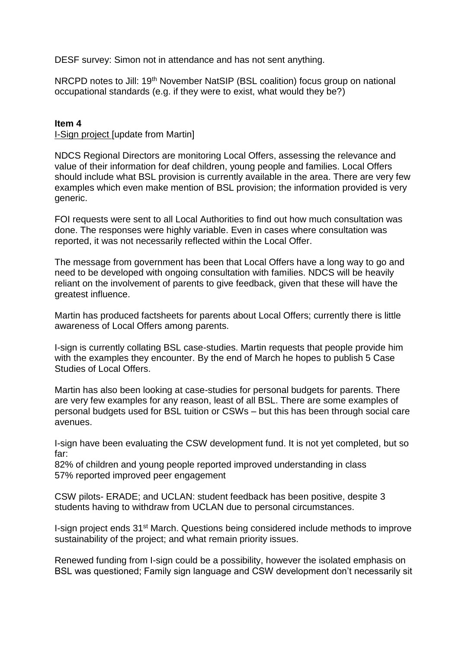DESF survey: Simon not in attendance and has not sent anything.

NRCPD notes to Jill: 19<sup>th</sup> November NatSIP (BSL coalition) focus group on national occupational standards (e.g. if they were to exist, what would they be?)

#### **Item 4**

I-Sign project [update from Martin]

NDCS Regional Directors are monitoring Local Offers, assessing the relevance and value of their information for deaf children, young people and families. Local Offers should include what BSL provision is currently available in the area. There are very few examples which even make mention of BSL provision; the information provided is very generic.

FOI requests were sent to all Local Authorities to find out how much consultation was done. The responses were highly variable. Even in cases where consultation was reported, it was not necessarily reflected within the Local Offer.

The message from government has been that Local Offers have a long way to go and need to be developed with ongoing consultation with families. NDCS will be heavily reliant on the involvement of parents to give feedback, given that these will have the greatest influence.

Martin has produced factsheets for parents about Local Offers; currently there is little awareness of Local Offers among parents.

I-sign is currently collating BSL case-studies. Martin requests that people provide him with the examples they encounter. By the end of March he hopes to publish 5 Case Studies of Local Offers.

Martin has also been looking at case-studies for personal budgets for parents. There are very few examples for any reason, least of all BSL. There are some examples of personal budgets used for BSL tuition or CSWs – but this has been through social care avenues.

I-sign have been evaluating the CSW development fund. It is not yet completed, but so far:

82% of children and young people reported improved understanding in class 57% reported improved peer engagement

CSW pilots- ERADE; and UCLAN: student feedback has been positive, despite 3 students having to withdraw from UCLAN due to personal circumstances.

I-sign project ends 31st March. Questions being considered include methods to improve sustainability of the project; and what remain priority issues.

Renewed funding from I-sign could be a possibility, however the isolated emphasis on BSL was questioned; Family sign language and CSW development don't necessarily sit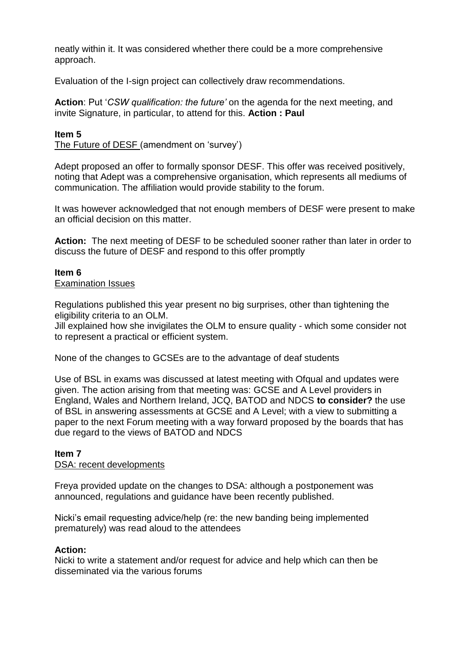neatly within it. It was considered whether there could be a more comprehensive approach.

Evaluation of the I-sign project can collectively draw recommendations.

**Action**: Put '*CSW qualification: the future'* on the agenda for the next meeting, and invite Signature, in particular, to attend for this. **Action : Paul**

## **Item 5**

The Future of DESF (amendment on 'survey')

Adept proposed an offer to formally sponsor DESF. This offer was received positively, noting that Adept was a comprehensive organisation, which represents all mediums of communication. The affiliation would provide stability to the forum.

It was however acknowledged that not enough members of DESF were present to make an official decision on this matter.

**Action:** The next meeting of DESF to be scheduled sooner rather than later in order to discuss the future of DESF and respond to this offer promptly

# **Item 6**

#### Examination Issues

Regulations published this year present no big surprises, other than tightening the eligibility criteria to an OLM.

Jill explained how she invigilates the OLM to ensure quality - which some consider not to represent a practical or efficient system.

None of the changes to GCSEs are to the advantage of deaf students

Use of BSL in exams was discussed at latest meeting with Ofqual and updates were given. The action arising from that meeting was: GCSE and A Level providers in England, Wales and Northern Ireland, JCQ, BATOD and NDCS **to consider?** the use of BSL in answering assessments at GCSE and A Level; with a view to submitting a paper to the next Forum meeting with a way forward proposed by the boards that has due regard to the views of BATOD and NDCS

#### **Item 7** DSA: recent developments

Freya provided update on the changes to DSA: although a postponement was announced, regulations and guidance have been recently published.

Nicki's email requesting advice/help (re: the new banding being implemented prematurely) was read aloud to the attendees

#### **Action:**

Nicki to write a statement and/or request for advice and help which can then be disseminated via the various forums